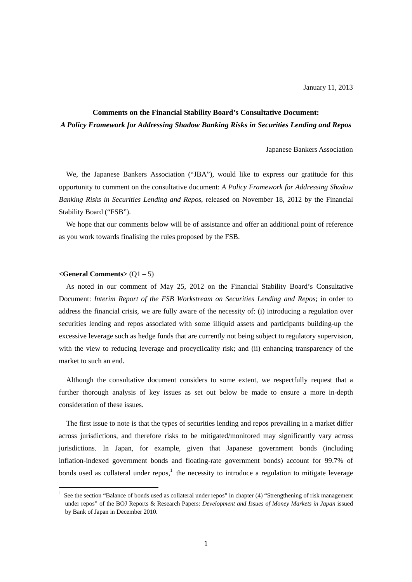# **Comments on the Financial Stability Board's Consultative Document:**  *A Policy Framework for Addressing Shadow Banking Risks in Securities Lending and Repos*

Japanese Bankers Association

We, the Japanese Bankers Association ("JBA"), would like to express our gratitude for this opportunity to comment on the consultative document: *A Policy Framework for Addressing Shadow Banking Risks in Securities Lending and Repos*, released on November 18, 2012 by the Financial Stability Board ("FSB").

We hope that our comments below will be of assistance and offer an additional point of reference as you work towards finalising the rules proposed by the FSB.

#### **<General Comments>** (Q1 – 5)

-

As noted in our comment of May 25, 2012 on the Financial Stability Board's Consultative Document: *Interim Report of the FSB Workstream on Securities Lending and Repos*; in order to address the financial crisis, we are fully aware of the necessity of: (i) introducing a regulation over securities lending and repos associated with some illiquid assets and participants building-up the excessive leverage such as hedge funds that are currently not being subject to regulatory supervision, with the view to reducing leverage and procyclicality risk; and (ii) enhancing transparency of the market to such an end.

Although the consultative document considers to some extent, we respectfully request that a further thorough analysis of key issues as set out below be made to ensure a more in-depth consideration of these issues.

The first issue to note is that the types of securities lending and repos prevailing in a market differ across jurisdictions, and therefore risks to be mitigated/monitored may significantly vary across jurisdictions. In Japan, for example, given that Japanese government bonds (including inflation-indexed government bonds and floating-rate government bonds) account for 99.7% of bonds used as collateral under repos, $<sup>1</sup>$  the necessity to introduce a regulation to mitigate leverage</sup>

<sup>1</sup> See the section "Balance of bonds used as collateral under repos" in chapter (4) "Strengthening of risk management under repos" of the BOJ Reports & Research Papers: *Development and Issues of Money Markets in Japan* issued by Bank of Japan in December 2010.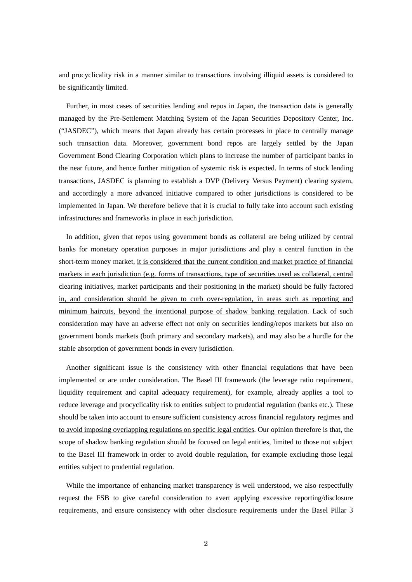and procyclicality risk in a manner similar to transactions involving illiquid assets is considered to be significantly limited.

Further, in most cases of securities lending and repos in Japan, the transaction data is generally managed by the Pre-Settlement Matching System of the Japan Securities Depository Center, Inc. ("JASDEC"), which means that Japan already has certain processes in place to centrally manage such transaction data. Moreover, government bond repos are largely settled by the Japan Government Bond Clearing Corporation which plans to increase the number of participant banks in the near future, and hence further mitigation of systemic risk is expected. In terms of stock lending transactions, JASDEC is planning to establish a DVP (Delivery Versus Payment) clearing system, and accordingly a more advanced initiative compared to other jurisdictions is considered to be implemented in Japan. We therefore believe that it is crucial to fully take into account such existing infrastructures and frameworks in place in each jurisdiction.

In addition, given that repos using government bonds as collateral are being utilized by central banks for monetary operation purposes in major jurisdictions and play a central function in the short-term money market, it is considered that the current condition and market practice of financial markets in each jurisdiction (e.g. forms of transactions, type of securities used as collateral, central clearing initiatives, market participants and their positioning in the market) should be fully factored in, and consideration should be given to curb over-regulation, in areas such as reporting and minimum haircuts, beyond the intentional purpose of shadow banking regulation. Lack of such consideration may have an adverse effect not only on securities lending/repos markets but also on government bonds markets (both primary and secondary markets), and may also be a hurdle for the stable absorption of government bonds in every jurisdiction.

Another significant issue is the consistency with other financial regulations that have been implemented or are under consideration. The Basel III framework (the leverage ratio requirement, liquidity requirement and capital adequacy requirement), for example, already applies a tool to reduce leverage and procyclicality risk to entities subject to prudential regulation (banks etc.). These should be taken into account to ensure sufficient consistency across financial regulatory regimes and to avoid imposing overlapping regulations on specific legal entities. Our opinion therefore is that, the scope of shadow banking regulation should be focused on legal entities, limited to those not subject to the Basel III framework in order to avoid double regulation, for example excluding those legal entities subject to prudential regulation.

While the importance of enhancing market transparency is well understood, we also respectfully request the FSB to give careful consideration to avert applying excessive reporting/disclosure requirements, and ensure consistency with other disclosure requirements under the Basel Pillar 3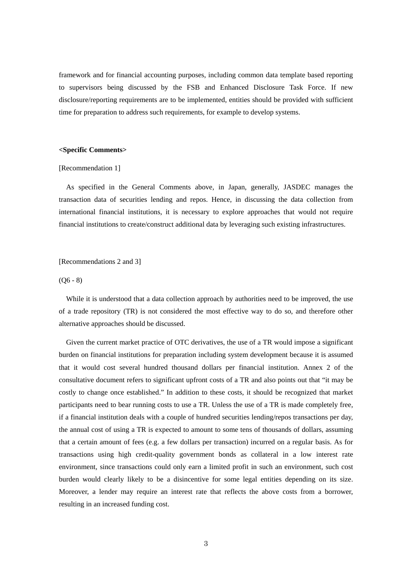framework and for financial accounting purposes, including common data template based reporting to supervisors being discussed by the FSB and Enhanced Disclosure Task Force. If new disclosure/reporting requirements are to be implemented, entities should be provided with sufficient time for preparation to address such requirements, for example to develop systems.

# **<Specific Comments>**

### [Recommendation 1]

As specified in the General Comments above, in Japan, generally, JASDEC manages the transaction data of securities lending and repos. Hence, in discussing the data collection from international financial institutions, it is necessary to explore approaches that would not require financial institutions to create/construct additional data by leveraging such existing infrastructures.

# [Recommendations 2 and 3]

# $(06 - 8)$

While it is understood that a data collection approach by authorities need to be improved, the use of a trade repository (TR) is not considered the most effective way to do so, and therefore other alternative approaches should be discussed.

Given the current market practice of OTC derivatives, the use of a TR would impose a significant burden on financial institutions for preparation including system development because it is assumed that it would cost several hundred thousand dollars per financial institution. Annex 2 of the consultative document refers to significant upfront costs of a TR and also points out that "it may be costly to change once established." In addition to these costs, it should be recognized that market participants need to bear running costs to use a TR. Unless the use of a TR is made completely free, if a financial institution deals with a couple of hundred securities lending/repos transactions per day, the annual cost of using a TR is expected to amount to some tens of thousands of dollars, assuming that a certain amount of fees (e.g. a few dollars per transaction) incurred on a regular basis. As for transactions using high credit-quality government bonds as collateral in a low interest rate environment, since transactions could only earn a limited profit in such an environment, such cost burden would clearly likely to be a disincentive for some legal entities depending on its size. Moreover, a lender may require an interest rate that reflects the above costs from a borrower, resulting in an increased funding cost.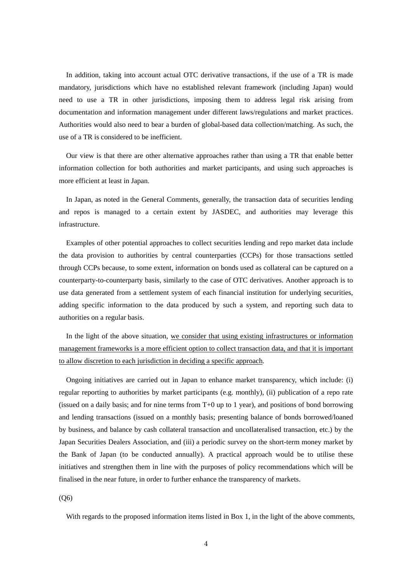In addition, taking into account actual OTC derivative transactions, if the use of a TR is made mandatory, jurisdictions which have no established relevant framework (including Japan) would need to use a TR in other jurisdictions, imposing them to address legal risk arising from documentation and information management under different laws/regulations and market practices. Authorities would also need to bear a burden of global-based data collection/matching. As such, the use of a TR is considered to be inefficient.

Our view is that there are other alternative approaches rather than using a TR that enable better information collection for both authorities and market participants, and using such approaches is more efficient at least in Japan.

In Japan, as noted in the General Comments, generally, the transaction data of securities lending and repos is managed to a certain extent by JASDEC, and authorities may leverage this infrastructure.

Examples of other potential approaches to collect securities lending and repo market data include the data provision to authorities by central counterparties (CCPs) for those transactions settled through CCPs because, to some extent, information on bonds used as collateral can be captured on a counterparty-to-counterparty basis, similarly to the case of OTC derivatives. Another approach is to use data generated from a settlement system of each financial institution for underlying securities, adding specific information to the data produced by such a system, and reporting such data to authorities on a regular basis.

In the light of the above situation, we consider that using existing infrastructures or information management frameworks is a more efficient option to collect transaction data, and that it is important to allow discretion to each jurisdiction in deciding a specific approach.

Ongoing initiatives are carried out in Japan to enhance market transparency, which include: (i) regular reporting to authorities by market participants (e.g. monthly), (ii) publication of a repo rate (issued on a daily basis; and for nine terms from  $T+0$  up to 1 year), and positions of bond borrowing and lending transactions (issued on a monthly basis; presenting balance of bonds borrowed/loaned by business, and balance by cash collateral transaction and uncollateralised transaction, etc.) by the Japan Securities Dealers Association, and (iii) a periodic survey on the short-term money market by the Bank of Japan (to be conducted annually). A practical approach would be to utilise these initiatives and strengthen them in line with the purposes of policy recommendations which will be finalised in the near future, in order to further enhance the transparency of markets.

(Q6)

With regards to the proposed information items listed in Box 1, in the light of the above comments,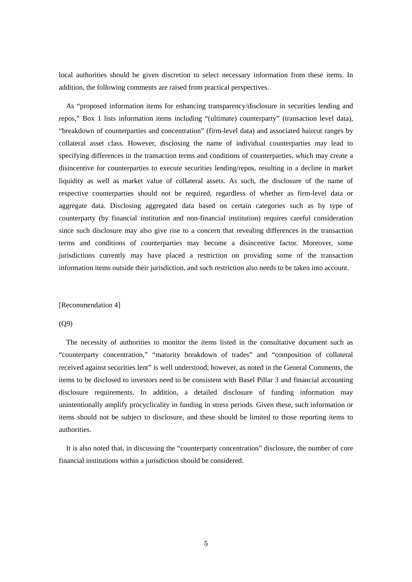local authorities should be given discretion to select necessary information from these items. In addition, the following comments are raised from practical perspectives.

As "proposed information items for enhancing transparency/disclosure in securities lending and repos," Box 1 lists information items including "(ultimate) counterparty" (transaction level data), "breakdown of counterparties and concentration" (firm-level data) and associated haircut ranges by collateral asset class. However, disclosing the name of individual counterparties may lead to specifying differences in the transaction terms and conditions of counterparties, which may create a disincentive for counterparties to execute securities lending/repos, resulting in a decline in market liquidity as well as market value of collateral assets. As such, the disclosure of the name of respective counterparties should not be required, regardless of whether as firm-level data or aggregate data. Disclosing aggregated data based on certain categories such as by type of counterparty (by financial institution and non-financial institution) requires careful consideration since such disclosure may also give rise to a concern that revealing differences in the transaction terms and conditions of counterparties may become a disincentive factor. Moreover, some jurisdictions currently may have placed a restriction on providing some of the transaction information items outside their jurisdiction, and such restriction also needs to be taken into account.

#### [Recommendation 4]

#### (Q9)

The necessity of authorities to monitor the items listed in the consultative document such as "counterparty concentration," "maturity breakdown of trades" and "composition of collateral received against securities lent" is well understood; however, as noted in the General Comments, the items to be disclosed to investors need to be consistent with Basel Pillar 3 and financial accounting disclosure requirements. In addition, a detailed disclosure of funding information may unintentionally amplify procyclicality in funding in stress periods. Given these, such information or items should not be subject to disclosure, and these should be limited to those reporting items to authorities.

It is also noted that, in discussing the "counterparty concentration" disclosure, the number of core financial institutions within a jurisdiction should be considered.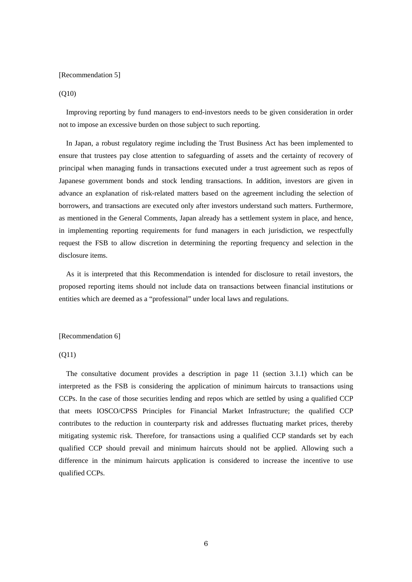#### [Recommendation 5]

#### (Q10)

Improving reporting by fund managers to end-investors needs to be given consideration in order not to impose an excessive burden on those subject to such reporting.

In Japan, a robust regulatory regime including the Trust Business Act has been implemented to ensure that trustees pay close attention to safeguarding of assets and the certainty of recovery of principal when managing funds in transactions executed under a trust agreement such as repos of Japanese government bonds and stock lending transactions. In addition, investors are given in advance an explanation of risk-related matters based on the agreement including the selection of borrowers, and transactions are executed only after investors understand such matters. Furthermore, as mentioned in the General Comments, Japan already has a settlement system in place, and hence, in implementing reporting requirements for fund managers in each jurisdiction, we respectfully request the FSB to allow discretion in determining the reporting frequency and selection in the disclosure items.

As it is interpreted that this Recommendation is intended for disclosure to retail investors, the proposed reporting items should not include data on transactions between financial institutions or entities which are deemed as a "professional" under local laws and regulations.

## [Recommendation 6]

### $(O11)$

The consultative document provides a description in page 11 (section 3.1.1) which can be interpreted as the FSB is considering the application of minimum haircuts to transactions using CCPs. In the case of those securities lending and repos which are settled by using a qualified CCP that meets IOSCO/CPSS Principles for Financial Market Infrastructure; the qualified CCP contributes to the reduction in counterparty risk and addresses fluctuating market prices, thereby mitigating systemic risk. Therefore, for transactions using a qualified CCP standards set by each qualified CCP should prevail and minimum haircuts should not be applied. Allowing such a difference in the minimum haircuts application is considered to increase the incentive to use qualified CCPs.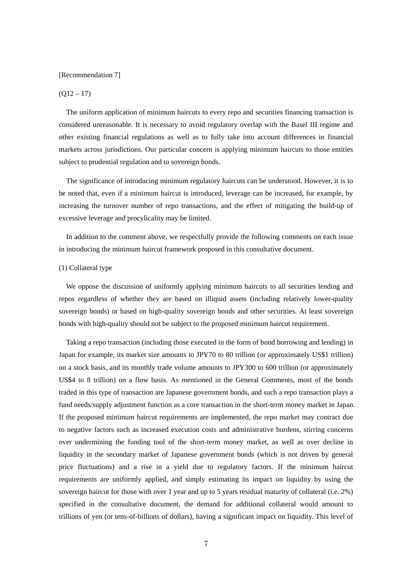#### [Recommendation 7]

# $(O12 - 17)$

The uniform application of minimum haircuts to every repo and securities financing transaction is considered unreasonable. It is necessary to avoid regulatory overlap with the Basel III regime and other existing financial regulations as well as to fully take into account differences in financial markets across jurisdictions. Our particular concern is applying minimum haircuts to those entities subject to prudential regulation and to sovereign bonds.

The significance of introducing minimum regulatory haircuts can be understood. However, it is to be noted that, even if a minimum haircut is introduced, leverage can be increased, for example, by increasing the turnover number of repo transactions, and the effect of mitigating the build-up of excessive leverage and procylicality may be limited.

In addition to the comment above, we respectfully provide the following comments on each issue in introducing the minimum haircut framework proposed in this consultative document.

# (1) Collateral type

We oppose the discussion of uniformly applying minimum haircuts to all securities lending and repos regardless of whether they are based on illiquid assets (including relatively lower-quality sovereign bonds) or based on high-quality sovereign bonds and other securities. At least sovereign bonds with high-quality should not be subject to the proposed minimum haircut requirement.

Taking a repo transaction (including those executed in the form of bond borrowing and lending) in Japan for example, its market size amounts to JPY70 to 80 trillion (or approximately US\$1 trillion) on a stock basis, and its monthly trade volume amounts to JPY300 to 600 trillion (or approximately US\$4 to 8 trillion) on a flow basis. As mentioned in the General Comments, most of the bonds traded in this type of transaction are Japanese government bonds, and such a repo transaction plays a fund needs/supply adjustment function as a core transaction in the short-term money market in Japan. If the proposed minimum haircut requirements are implemented, the repo market may contract due to negative factors such as increased execution costs and administrative burdens, stirring concerns over undermining the funding tool of the short-term money market, as well as over decline in liquidity in the secondary market of Japanese government bonds (which is not driven by general price fluctuations) and a rise in a yield due to regulatory factors. If the minimum haircut requirements are uniformly applied, and simply estimating its impact on liquidity by using the sovereign haircut for those with over 1 year and up to 5 years residual maturity of collateral (i.e. 2%) specified in the consultative document, the demand for additional collateral would amount to trillions of yen (or tens-of-billions of dollars), having a significant impact on liquidity. This level of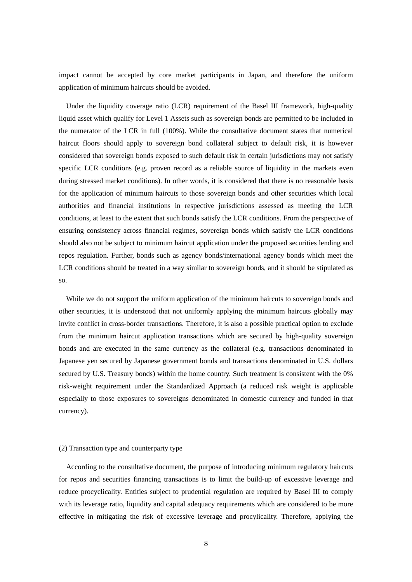impact cannot be accepted by core market participants in Japan, and therefore the uniform application of minimum haircuts should be avoided.

Under the liquidity coverage ratio (LCR) requirement of the Basel III framework, high-quality liquid asset which qualify for Level 1 Assets such as sovereign bonds are permitted to be included in the numerator of the LCR in full (100%). While the consultative document states that numerical haircut floors should apply to sovereign bond collateral subject to default risk, it is however considered that sovereign bonds exposed to such default risk in certain jurisdictions may not satisfy specific LCR conditions (e.g. proven record as a reliable source of liquidity in the markets even during stressed market conditions). In other words, it is considered that there is no reasonable basis for the application of minimum haircuts to those sovereign bonds and other securities which local authorities and financial institutions in respective jurisdictions assessed as meeting the LCR conditions, at least to the extent that such bonds satisfy the LCR conditions. From the perspective of ensuring consistency across financial regimes, sovereign bonds which satisfy the LCR conditions should also not be subject to minimum haircut application under the proposed securities lending and repos regulation. Further, bonds such as agency bonds/international agency bonds which meet the LCR conditions should be treated in a way similar to sovereign bonds, and it should be stipulated as so.

While we do not support the uniform application of the minimum haircuts to sovereign bonds and other securities, it is understood that not uniformly applying the minimum haircuts globally may invite conflict in cross-border transactions. Therefore, it is also a possible practical option to exclude from the minimum haircut application transactions which are secured by high-quality sovereign bonds and are executed in the same currency as the collateral (e.g. transactions denominated in Japanese yen secured by Japanese government bonds and transactions denominated in U.S. dollars secured by U.S. Treasury bonds) within the home country. Such treatment is consistent with the 0% risk-weight requirement under the Standardized Approach (a reduced risk weight is applicable especially to those exposures to sovereigns denominated in domestic currency and funded in that currency).

### (2) Transaction type and counterparty type

According to the consultative document, the purpose of introducing minimum regulatory haircuts for repos and securities financing transactions is to limit the build-up of excessive leverage and reduce procyclicality. Entities subject to prudential regulation are required by Basel III to comply with its leverage ratio, liquidity and capital adequacy requirements which are considered to be more effective in mitigating the risk of excessive leverage and procylicality. Therefore, applying the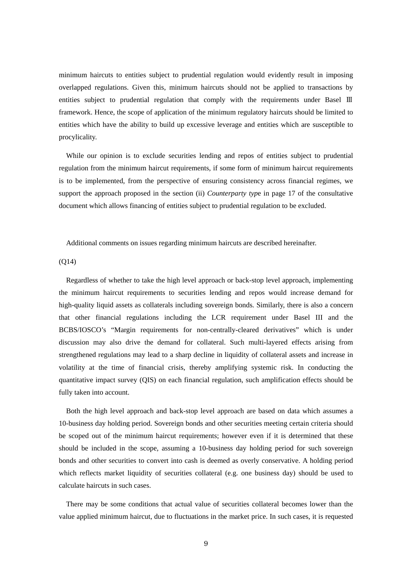minimum haircuts to entities subject to prudential regulation would evidently result in imposing overlapped regulations. Given this, minimum haircuts should not be applied to transactions by entities subject to prudential regulation that comply with the requirements under Basel III framework. Hence, the scope of application of the minimum regulatory haircuts should be limited to entities which have the ability to build up excessive leverage and entities which are susceptible to procylicality.

While our opinion is to exclude securities lending and repos of entities subject to prudential regulation from the minimum haircut requirements, if some form of minimum haircut requirements is to be implemented, from the perspective of ensuring consistency across financial regimes, we support the approach proposed in the section (ii) *Counterparty type* in page 17 of the consultative document which allows financing of entities subject to prudential regulation to be excluded.

Additional comments on issues regarding minimum haircuts are described hereinafter.

 $(O14)$ 

Regardless of whether to take the high level approach or back-stop level approach, implementing the minimum haircut requirements to securities lending and repos would increase demand for high-quality liquid assets as collaterals including sovereign bonds. Similarly, there is also a concern that other financial regulations including the LCR requirement under Basel III and the BCBS/IOSCO's "Margin requirements for non-centrally-cleared derivatives" which is under discussion may also drive the demand for collateral. Such multi-layered effects arising from strengthened regulations may lead to a sharp decline in liquidity of collateral assets and increase in volatility at the time of financial crisis, thereby amplifying systemic risk. In conducting the quantitative impact survey (QIS) on each financial regulation, such amplification effects should be fully taken into account.

Both the high level approach and back-stop level approach are based on data which assumes a 10-business day holding period. Sovereign bonds and other securities meeting certain criteria should be scoped out of the minimum haircut requirements; however even if it is determined that these should be included in the scope, assuming a 10-business day holding period for such sovereign bonds and other securities to convert into cash is deemed as overly conservative. A holding period which reflects market liquidity of securities collateral (e.g. one business day) should be used to calculate haircuts in such cases.

There may be some conditions that actual value of securities collateral becomes lower than the value applied minimum haircut, due to fluctuations in the market price. In such cases, it is requested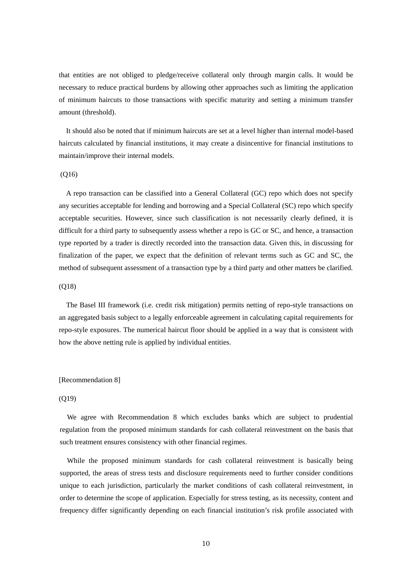that entities are not obliged to pledge/receive collateral only through margin calls. It would be necessary to reduce practical burdens by allowing other approaches such as limiting the application of minimum haircuts to those transactions with specific maturity and setting a minimum transfer amount (threshold).

It should also be noted that if minimum haircuts are set at a level higher than internal model-based haircuts calculated by financial institutions, it may create a disincentive for financial institutions to maintain/improve their internal models.

### (Q16)

A repo transaction can be classified into a General Collateral (GC) repo which does not specify any securities acceptable for lending and borrowing and a Special Collateral (SC) repo which specify acceptable securities. However, since such classification is not necessarily clearly defined, it is difficult for a third party to subsequently assess whether a repo is GC or SC, and hence, a transaction type reported by a trader is directly recorded into the transaction data. Given this, in discussing for finalization of the paper, we expect that the definition of relevant terms such as GC and SC, the method of subsequent assessment of a transaction type by a third party and other matters be clarified.

# (Q18)

The Basel III framework (i.e. credit risk mitigation) permits netting of repo-style transactions on an aggregated basis subject to a legally enforceable agreement in calculating capital requirements for repo-style exposures. The numerical haircut floor should be applied in a way that is consistent with how the above netting rule is applied by individual entities.

#### [Recommendation 8]

# (Q19)

We agree with Recommendation 8 which excludes banks which are subject to prudential regulation from the proposed minimum standards for cash collateral reinvestment on the basis that such treatment ensures consistency with other financial regimes.

While the proposed minimum standards for cash collateral reinvestment is basically being supported, the areas of stress tests and disclosure requirements need to further consider conditions unique to each jurisdiction, particularly the market conditions of cash collateral reinvestment, in order to determine the scope of application. Especially for stress testing, as its necessity, content and frequency differ significantly depending on each financial institution's risk profile associated with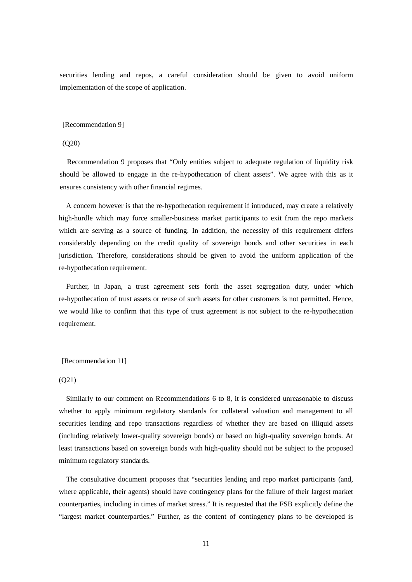securities lending and repos, a careful consideration should be given to avoid uniform implementation of the scope of application.

#### [Recommendation 9]

### (Q20)

Recommendation 9 proposes that "Only entities subject to adequate regulation of liquidity risk should be allowed to engage in the re-hypothecation of client assets". We agree with this as it ensures consistency with other financial regimes.

A concern however is that the re-hypothecation requirement if introduced, may create a relatively high-hurdle which may force smaller-business market participants to exit from the repo markets which are serving as a source of funding. In addition, the necessity of this requirement differs considerably depending on the credit quality of sovereign bonds and other securities in each jurisdiction. Therefore, considerations should be given to avoid the uniform application of the re-hypothecation requirement.

Further, in Japan, a trust agreement sets forth the asset segregation duty, under which re-hypothecation of trust assets or reuse of such assets for other customers is not permitted. Hence, we would like to confirm that this type of trust agreement is not subject to the re-hypothecation requirement.

# [Recommendation 11]

## (Q21)

Similarly to our comment on Recommendations 6 to 8, it is considered unreasonable to discuss whether to apply minimum regulatory standards for collateral valuation and management to all securities lending and repo transactions regardless of whether they are based on illiquid assets (including relatively lower-quality sovereign bonds) or based on high-quality sovereign bonds. At least transactions based on sovereign bonds with high-quality should not be subject to the proposed minimum regulatory standards.

The consultative document proposes that "securities lending and repo market participants (and, where applicable, their agents) should have contingency plans for the failure of their largest market counterparties, including in times of market stress." It is requested that the FSB explicitly define the "largest market counterparties." Further, as the content of contingency plans to be developed is